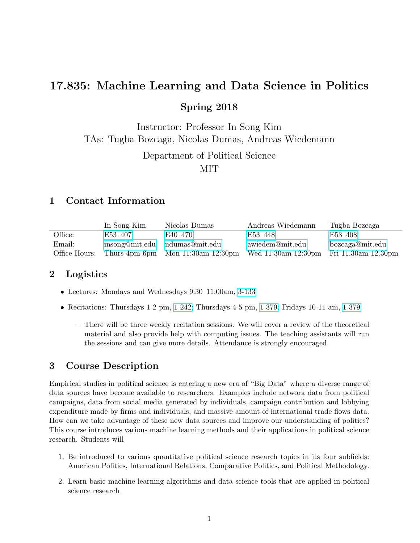# 17.835: Machine Learning and Data Science in Politics Spring 2018

Instructor: Professor In Song Kim TAs: Tugba Bozcaga, Nicolas Dumas, Andreas Wiedemann Department of Political Science MIT

# 1 Contact Information

|               | In Song Kim    | Nicolas Dumas                                              | Andreas Wiedemann                       | Tugba Bozcaga   |
|---------------|----------------|------------------------------------------------------------|-----------------------------------------|-----------------|
| Office:       | E53–407        | E40–470                                                    | E53-448                                 | E53-408         |
| Email:        | insong@mit.edu | ndumas@mit.edu                                             | awiedem@mit.edu                         | bozcaga@mit.edu |
| Office Hours: |                | Thurs $4\text{pm-6pm}$ Mon $11:30\text{am-}12:30\text{pm}$ | Wed 11:30am-12:30pm Fri 11.30am-12.30pm |                 |

# 2 Logistics

- Lectures: Mondays and Wednesdays 9:30–11:00am, [3-133](http://whereis.mit.edu/?go=3)
- Recitations: Thursdays 1-2 pm, [1-242;](https://whereis.mit.edu/?go=1) Thursdays 4-5 pm, [1-379;](https://whereis.mit.edu/?go=1) Fridays 10-11 am, [1-379](https://whereis.mit.edu/?go=1)
	- There will be three weekly recitation sessions. We will cover a review of the theoretical material and also provide help with computing issues. The teaching assistants will run the sessions and can give more details. Attendance is strongly encouraged.

# 3 Course Description

Empirical studies in political science is entering a new era of "Big Data" where a diverse range of data sources have become available to researchers. Examples include network data from political campaigns, data from social media generated by individuals, campaign contribution and lobbying expenditure made by firms and individuals, and massive amount of international trade flows data. How can we take advantage of these new data sources and improve our understanding of politics? This course introduces various machine learning methods and their applications in political science research. Students will

- 1. Be introduced to various quantitative political science research topics in its four subfields: American Politics, International Relations, Comparative Politics, and Political Methodology.
- 2. Learn basic machine learning algorithms and data science tools that are applied in political science research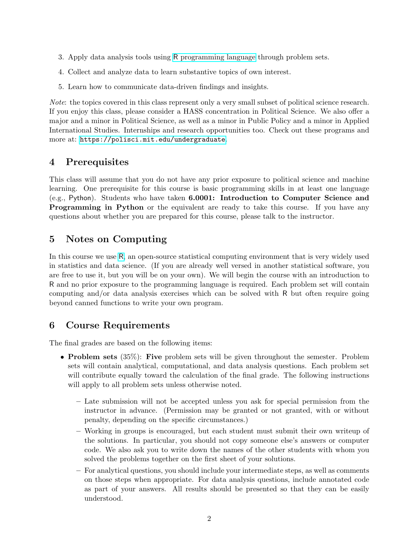- 3. Apply data analysis tools using R [programming language](https://cran.r-project.org/) through problem sets.
- 4. Collect and analyze data to learn substantive topics of own interest.
- 5. Learn how to communicate data-driven findings and insights.

Note: the topics covered in this class represent only a very small subset of political science research. If you enjoy this class, please consider a HASS concentration in Political Science. We also offer a major and a minor in Political Science, as well as a minor in Public Policy and a minor in Applied International Studies. Internships and research opportunities too. Check out these programs and more at: <https://polisci.mit.edu/undergraduate>.

# 4 Prerequisites

This class will assume that you do not have any prior exposure to political science and machine learning. One prerequisite for this course is basic programming skills in at least one language (e.g., Python). Students who have taken 6.0001: Introduction to Computer Science and Programming in Python or the equivalent are ready to take this course. If you have any questions about whether you are prepared for this course, please talk to the instructor.

# 5 Notes on Computing

In this course we use [R](http://www.r-project.org/), an open-source statistical computing environment that is very widely used in statistics and data science. (If you are already well versed in another statistical software, you are free to use it, but you will be on your own). We will begin the course with an introduction to R and no prior exposure to the programming language is required. Each problem set will contain computing and/or data analysis exercises which can be solved with R but often require going beyond canned functions to write your own program.

# 6 Course Requirements

The final grades are based on the following items:

- **Problem sets** (35%): **Five** problem sets will be given throughout the semester. Problem sets will contain analytical, computational, and data analysis questions. Each problem set will contribute equally toward the calculation of the final grade. The following instructions will apply to all problem sets unless otherwise noted.
	- Late submission will not be accepted unless you ask for special permission from the instructor in advance. (Permission may be granted or not granted, with or without penalty, depending on the specific circumstances.)
	- Working in groups is encouraged, but each student must submit their own writeup of the solutions. In particular, you should not copy someone else's answers or computer code. We also ask you to write down the names of the other students with whom you solved the problems together on the first sheet of your solutions.
	- For analytical questions, you should include your intermediate steps, as well as comments on those steps when appropriate. For data analysis questions, include annotated code as part of your answers. All results should be presented so that they can be easily understood.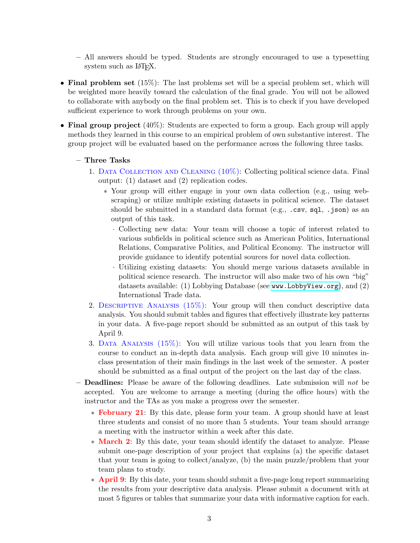- All answers should be typed. Students are strongly encouraged to use a typesetting system such as  $LAT$ <sub>F</sub>X.
- Final problem set (15%): The last problems set will be a special problem set, which will be weighted more heavily toward the calculation of the final grade. You will not be allowed to collaborate with anybody on the final problem set. This is to check if you have developed sufficient experience to work through problems on your own.
- Final group project  $(40\%)$ : Students are expected to form a group. Each group will apply methods they learned in this course to an empirical problem of own substantive interest. The group project will be evaluated based on the performance across the following three tasks.
	- Three Tasks
		- 1. Data Collection and Cleaning (10%): Collecting political science data. Final output: (1) dataset and (2) replication codes.
			- ∗ Your group will either engage in your own data collection (e.g., using webscraping) or utilize multiple existing datasets in political science. The dataset should be submitted in a standard data format (e.g.,  $\cdot$ csv, sql,  $\cdot$ json) as an output of this task.
				- · Collecting new data: Your team will choose a topic of interest related to various subfields in political science such as American Politics, International Relations, Comparative Politics, and Political Economy. The instructor will provide guidance to identify potential sources for novel data collection.
				- · Utilizing existing datasets: You should merge various datasets available in political science research. The instructor will also make two of his own "big" datasets available: (1) Lobbying Database (see <www.LobbyView.org>), and (2) International Trade data.
		- 2. Descriptive Analysis (15%): Your group will then conduct descriptive data analysis. You should submit tables and figures that effectively illustrate key patterns in your data. A five-page report should be submitted as an output of this task by April 9.
		- 3. Data Analysis (15%): You will utilize various tools that you learn from the course to conduct an in-depth data analysis. Each group will give 10 minutes inclass presentation of their main findings in the last week of the semester. A poster should be submitted as a final output of the project on the last day of the class.
	- Deadlines: Please be aware of the following deadlines. Late submission will not be accepted. You are welcome to arrange a meeting (during the office hours) with the instructor and the TAs as you make a progress over the semester.
		- ∗ February 21: By this date, please form your team. A group should have at least three students and consist of no more than 5 students. Your team should arrange a meeting with the instructor within a week after this date.
		- ∗ March 2: By this date, your team should identify the dataset to analyze. Please submit one-page description of your project that explains (a) the specific dataset that your team is going to collect/analyze, (b) the main puzzle/problem that your team plans to study.
		- ∗ April 9: By this date, your team should submit a five-page long report summarizing the results from your descriptive data analysis. Please submit a document with at most 5 figures or tables that summarize your data with informative caption for each.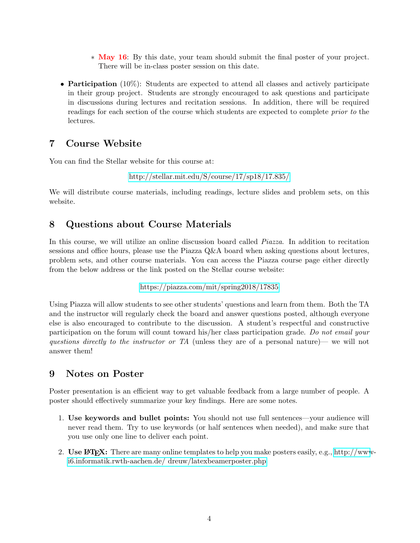- ∗ May 16: By this date, your team should submit the final poster of your project. There will be in-class poster session on this date.
- **Participation** (10%): Students are expected to attend all classes and actively participate in their group project. Students are strongly encouraged to ask questions and participate in discussions during lectures and recitation sessions. In addition, there will be required readings for each section of the course which students are expected to complete prior to the lectures.

# 7 Course Website

You can find the Stellar website for this course at:

[http://stellar.mit.edu/S/course/17/sp18/17.835/](http://stellar.mit.edu/S/course/17/sp18/17.XXX/)

We will distribute course materials, including readings, lecture slides and problem sets, on this website.

# 8 Questions about Course Materials

In this course, we will utilize an online discussion board called *Piazza*. In addition to recitation sessions and office hours, please use the Piazza Q&A board when asking questions about lectures, problem sets, and other course materials. You can access the Piazza course page either directly from the below address or the link posted on the Stellar course website:

#### <https://piazza.com/mit/spring2018/17835>

Using Piazza will allow students to see other students' questions and learn from them. Both the TA and the instructor will regularly check the board and answer questions posted, although everyone else is also encouraged to contribute to the discussion. A student's respectful and constructive participation on the forum will count toward his/her class participation grade. Do not email your questions directly to the instructor or TA (unless they are of a personal nature)— we will not answer them!

# 9 Notes on Poster

Poster presentation is an efficient way to get valuable feedback from a large number of people. A poster should effectively summarize your key findings. Here are some notes.

- 1. Use keywords and bullet points: You should not use full sentences—your audience will never read them. Try to use keywords (or half sentences when needed), and make sure that you use only one line to deliver each point.
- 2. Use  $\mathbf{E}\mathbf{T}_{\mathbf{F}}\mathbf{X}$ : There are many online templates to help you make posters easily, e.g., [http://www](http://www-i6.informatik.rwth-aachen.de/~dreuw/latexbeamerposter.php)[i6.informatik.rwth-aachen.de/ dreuw/latexbeamerposter.php](http://www-i6.informatik.rwth-aachen.de/~dreuw/latexbeamerposter.php)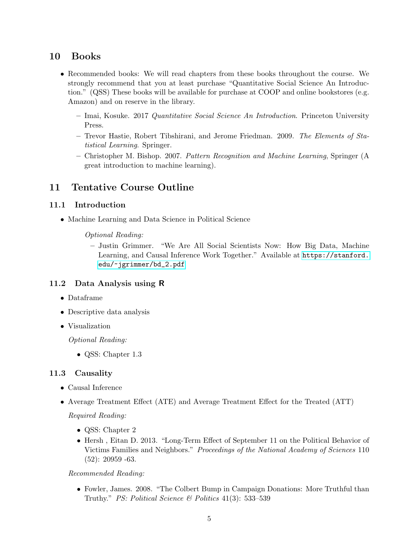# 10 Books

- Recommended books: We will read chapters from these books throughout the course. We strongly recommend that you at least purchase "Quantitative Social Science An Introduction." (QSS) These books will be available for purchase at COOP and online bookstores (e.g. Amazon) and on reserve in the library.
	- Imai, Kosuke. 2017 Quantitative Social Science An Introduction. Princeton University Press.
	- Trevor Hastie, Robert Tibshirani, and Jerome Friedman. 2009. The Elements of Statistical Learning. Springer.
	- Christopher M. Bishop. 2007. Pattern Recognition and Machine Learning, Springer (A great introduction to machine learning).

# 11 Tentative Course Outline

# 11.1 Introduction

- Machine Learning and Data Science in Political Science
	- Optional Reading:
	- Justin Grimmer. "We Are All Social Scientists Now: How Big Data, Machine Learning, and Causal Inference Work Together." Available at [https://stanford.](https://stanford.edu/~jgrimmer/bd_2.pdf) [edu/~jgrimmer/bd\\_2.pdf](https://stanford.edu/~jgrimmer/bd_2.pdf)

# 11.2 Data Analysis using R

- Dataframe
- Descriptive data analysis
- Visualization

Optional Reading:

• QSS: Chapter 1.3

# 11.3 Causality

- Causal Inference
- Average Treatment Effect (ATE) and Average Treatment Effect for the Treated (ATT)

Required Reading:

- QSS: Chapter 2
- Hersh , Eitan D. 2013. "Long-Term Effect of September 11 on the Political Behavior of Victims Families and Neighbors." Proceedings of the National Academy of Sciences 110 (52): 20959 -63.

Recommended Reading:

• Fowler, James. 2008. "The Colbert Bump in Campaign Donations: More Truthful than Truthy." PS: Political Science & Politics 41(3): 533–539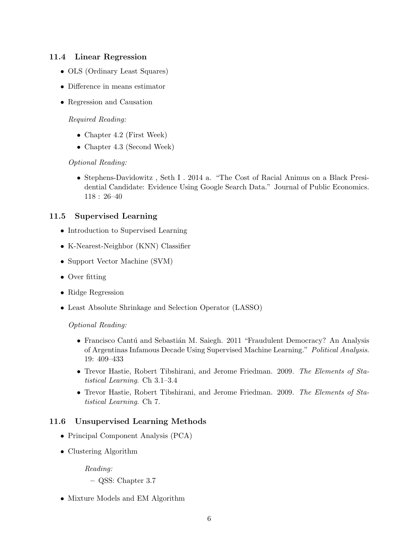# 11.4 Linear Regression

- OLS (Ordinary Least Squares)
- Difference in means estimator
- Regression and Causation

Required Reading:

- Chapter 4.2 (First Week)
- Chapter 4.3 (Second Week)

#### Optional Reading:

• Stephens-Davidowitz , Seth I . 2014 a. "The Cost of Racial Animus on a Black Presidential Candidate: Evidence Using Google Search Data." Journal of Public Economics. 118 : 26–40

### 11.5 Supervised Learning

- Introduction to Supervised Learning
- K-Nearest-Neighbor (KNN) Classifier
- Support Vector Machine (SVM)
- Over fitting
- Ridge Regression
- Least Absolute Shrinkage and Selection Operator (LASSO)

#### Optional Reading:

- Francisco Cantú and Sebastián M. Saiegh. 2011 "Fraudulent Democracy? An Analysis of Argentinas Infamous Decade Using Supervised Machine Learning." Political Analysis. 19: 409–433
- Trevor Hastie, Robert Tibshirani, and Jerome Friedman. 2009. The Elements of Statistical Learning. Ch 3.1–3.4
- Trevor Hastie, Robert Tibshirani, and Jerome Friedman. 2009. The Elements of Statistical Learning. Ch 7.

### 11.6 Unsupervised Learning Methods

- Principal Component Analysis (PCA)
- Clustering Algorithm

Reading:

- QSS: Chapter 3.7
- Mixture Models and EM Algorithm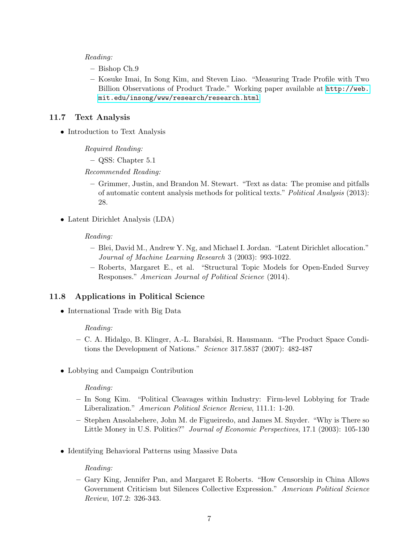#### Reading:

- Bishop Ch.9
- Kosuke Imai, In Song Kim, and Steven Liao. "Measuring Trade Profile with Two Billion Observations of Product Trade." Working paper available at [http://web.](http://web.mit.edu/insong/www/research/research.html) [mit.edu/insong/www/research/research.html](http://web.mit.edu/insong/www/research/research.html)

### 11.7 Text Analysis

- Introduction to Text Analysis
	- Required Reading:
		- QSS: Chapter 5.1

Recommended Reading:

- Grimmer, Justin, and Brandon M. Stewart. "Text as data: The promise and pitfalls of automatic content analysis methods for political texts." Political Analysis (2013): 28.
- Latent Dirichlet Analysis (LDA)

#### Reading:

- Blei, David M., Andrew Y. Ng, and Michael I. Jordan. "Latent Dirichlet allocation." Journal of Machine Learning Research 3 (2003): 993-1022.
- Roberts, Margaret E., et al. "Structural Topic Models for Open-Ended Survey Responses." American Journal of Political Science (2014).

### 11.8 Applications in Political Science

• International Trade with Big Data

#### Reading:

- C. A. Hidalgo, B. Klinger, A.-L. Barab´asi, R. Hausmann. "The Product Space Conditions the Development of Nations." Science 317.5837 (2007): 482-487
- Lobbying and Campaign Contribution

#### Reading:

- In Song Kim. "Political Cleavages within Industry: Firm-level Lobbying for Trade Liberalization." American Political Science Review, 111.1: 1-20.
- Stephen Ansolabehere, John M. de Figueiredo, and James M. Snyder. "Why is There so Little Money in U.S. Politics?" Journal of Economic Perspectives, 17.1 (2003): 105-130
- Identifying Behavioral Patterns using Massive Data

#### Reading:

– Gary King, Jennifer Pan, and Margaret E Roberts. "How Censorship in China Allows Government Criticism but Silences Collective Expression." American Political Science Review, 107.2: 326-343.